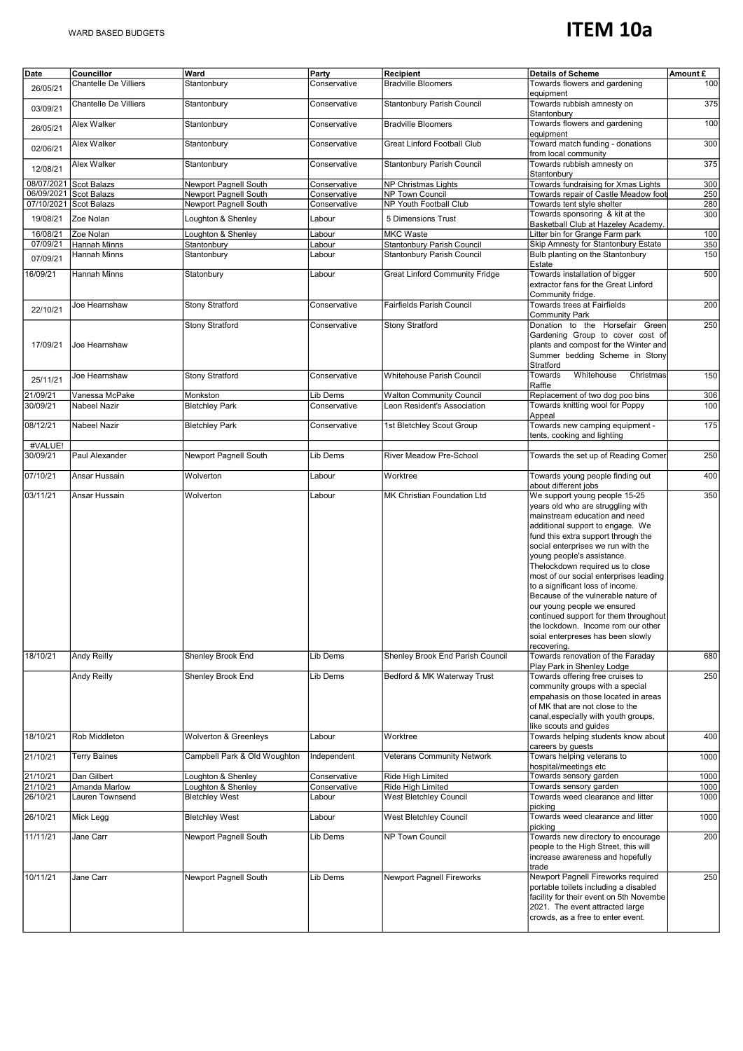## **ITEM 10a**

| Date       | Councillor             | Ward                         | Party        | Recipient                             | <b>Details of Scheme</b>                                                                                                                                                                                                                                                                                                                                                                                                                                                                                                                                                      | Amount £ |
|------------|------------------------|------------------------------|--------------|---------------------------------------|-------------------------------------------------------------------------------------------------------------------------------------------------------------------------------------------------------------------------------------------------------------------------------------------------------------------------------------------------------------------------------------------------------------------------------------------------------------------------------------------------------------------------------------------------------------------------------|----------|
| 26/05/21   | Chantelle De Villiers  | Stantonbury                  | Conservative | <b>Bradville Bloomers</b>             | Towards flowers and gardening<br>equipment                                                                                                                                                                                                                                                                                                                                                                                                                                                                                                                                    | 100      |
| 03/09/21   | Chantelle De Villiers  | Stantonbury                  | Conservative | Stantonbury Parish Council            | Towards rubbish amnesty on<br>Stantonburv                                                                                                                                                                                                                                                                                                                                                                                                                                                                                                                                     | 375      |
| 26/05/21   | Alex Walker            | Stantonbury                  | Conservative | <b>Bradville Bloomers</b>             | Towards flowers and gardening<br>equipment                                                                                                                                                                                                                                                                                                                                                                                                                                                                                                                                    | 100      |
| 02/06/21   | Alex Walker            | Stantonbury                  | Conservative | Great Linford Football Club           | Toward match funding - donations<br>from local community                                                                                                                                                                                                                                                                                                                                                                                                                                                                                                                      | 300      |
| 12/08/21   | Alex Walker            | Stantonbury                  | Conservative | Stantonbury Parish Council            | Towards rubbish amnesty on<br>Stantonbury                                                                                                                                                                                                                                                                                                                                                                                                                                                                                                                                     | 375      |
| 08/07/2021 | <b>Scot Balazs</b>     | Newport Pagnell South        | Conservative | NP Christmas Lights                   | Towards fundraising for Xmas Lights                                                                                                                                                                                                                                                                                                                                                                                                                                                                                                                                           | 300      |
|            | 06/09/2021 Scot Balazs | Newport Pagnell South        | Conservative | NP Town Council                       | Towards repair of Castle Meadow foot                                                                                                                                                                                                                                                                                                                                                                                                                                                                                                                                          | 250      |
|            | 07/10/2021 Scot Balazs | Newport Pagnell South        | Conservative | NP Youth Football Club                | Towards tent style shelter                                                                                                                                                                                                                                                                                                                                                                                                                                                                                                                                                    | 280      |
| 19/08/21   | Zoe Nolan              | Loughton & Shenley           | Labour       | 5 Dimensions Trust                    | Towards sponsoring & kit at the<br>Basketball Club at Hazeley Academy.                                                                                                                                                                                                                                                                                                                                                                                                                                                                                                        | 300      |
| 16/08/21   | Zoe Nolan              | Loughton & Shenley           | Labour       | <b>MKC Waste</b>                      | Litter bin for Grange Farm park                                                                                                                                                                                                                                                                                                                                                                                                                                                                                                                                               | 100      |
| 07/09/21   | <b>Hannah Minns</b>    | Stantonbury                  | Labour       | Stantonbury Parish Council            | Skip Amnesty for Stantonbury Estate                                                                                                                                                                                                                                                                                                                                                                                                                                                                                                                                           | 350      |
| 07/09/21   | Hannah Minns           | Stantonbury                  | Labour       | Stantonbury Parish Council            | Bulb planting on the Stantonbury<br>Estate                                                                                                                                                                                                                                                                                                                                                                                                                                                                                                                                    | 150      |
| 16/09/21   | Hannah Minns           | Statonbury                   | Labour       | <b>Great Linford Community Fridge</b> | Towards installation of bigger<br>extractor fans for the Great Linford<br>Community fridge.                                                                                                                                                                                                                                                                                                                                                                                                                                                                                   | 500      |
| 22/10/21   | Joe Hearnshaw          | <b>Stony Stratford</b>       | Conservative | Fairfields Parish Council             | Towards trees at Fairfields<br>Community Park                                                                                                                                                                                                                                                                                                                                                                                                                                                                                                                                 | 200      |
|            |                        | <b>Stony Stratford</b>       | Conservative | <b>Stony Stratford</b>                | Donation to the Horsefair Green                                                                                                                                                                                                                                                                                                                                                                                                                                                                                                                                               | 250      |
| 17/09/21   | Joe Hearnshaw          |                              |              |                                       | Gardening Group to cover cost of<br>plants and compost for the Winter and<br>Summer bedding Scheme in Stony<br>Stratford                                                                                                                                                                                                                                                                                                                                                                                                                                                      |          |
| 25/11/21   | Joe Hearnshaw          | <b>Stony Stratford</b>       | Conservative | Whitehouse Parish Council             | Whitehouse<br>Towards<br>Christmas<br>Raffle                                                                                                                                                                                                                                                                                                                                                                                                                                                                                                                                  | 150      |
| 21/09/21   | Vanessa McPake         | Monkston                     | Lib Dems     | <b>Walton Community Council</b>       | Replacement of two dog poo bins                                                                                                                                                                                                                                                                                                                                                                                                                                                                                                                                               | 306      |
| 30/09/21   | Nabeel Nazir           | <b>Bletchley Park</b>        | Conservative | Leon Resident's Association           | Towards knitting wool for Poppy<br>Appeal                                                                                                                                                                                                                                                                                                                                                                                                                                                                                                                                     | 100      |
| 08/12/21   | Nabeel Nazir           | <b>Bletchley Park</b>        | Conservative | 1st Bletchley Scout Group             | Towards new camping equipment -<br>tents, cooking and lighting                                                                                                                                                                                                                                                                                                                                                                                                                                                                                                                | 175      |
| #VALUE!    |                        |                              |              |                                       |                                                                                                                                                                                                                                                                                                                                                                                                                                                                                                                                                                               |          |
| 30/09/21   | Paul Alexander         | Newport Pagnell South        | Lib Dems     | River Meadow Pre-School               | Towards the set up of Reading Corner                                                                                                                                                                                                                                                                                                                                                                                                                                                                                                                                          | 250      |
| 07/10/21   | Ansar Hussain          | Wolverton                    | Labour       | Worktree                              | Towards young people finding out<br>about different jobs                                                                                                                                                                                                                                                                                                                                                                                                                                                                                                                      | 400      |
| 03/11/21   | Ansar Hussain          | Wolverton                    | Labour       | MK Christian Foundation Ltd           | We support young people 15-25<br>years old who are struggling with<br>mainstream education and need<br>additional support to engage. We<br>fund this extra support through the<br>social enterprises we run with the<br>young people's assistance.<br>Thelockdown required us to close<br>most of our social enterprises leading<br>to a significant loss of income.<br>Because of the vulnerable nature of<br>our young people we ensured<br>continued support for them throughout<br>the lockdown. Income rom our other<br>soial enterpreses has been slowly<br>recovering. | 350      |
| 18/10/21   | Andy Reilly            | Shenley Brook End            | Lib Dems     | Shenley Brook End Parish Council      | Towards renovation of the Faraday<br>Play Park in Shenley Lodge                                                                                                                                                                                                                                                                                                                                                                                                                                                                                                               | 680      |
|            | Andy Reilly            | Shenley Brook End            | Lib Dems     | Bedford & MK Waterway Trust           | Towards offering free cruises to<br>community groups with a special<br>empahasis on those located in areas<br>of MK that are not close to the<br>canal, especially with youth groups,<br>like scouts and guides                                                                                                                                                                                                                                                                                                                                                               | 250      |
| 18/10/21   | Rob Middleton          | Wolverton & Greenleys        | Labour       | Worktree                              | Towards helping students know about<br>careers by guests                                                                                                                                                                                                                                                                                                                                                                                                                                                                                                                      | 400      |
| 21/10/21   | <b>Terry Baines</b>    | Campbell Park & Old Woughton | Independent  | <b>Veterans Community Network</b>     | Towars helping veterans to<br>hospital/meetings etc                                                                                                                                                                                                                                                                                                                                                                                                                                                                                                                           | 1000     |
| 21/10/21   | Dan Gilbert            | Loughton & Shenley           | Conservative | Ride High Limited                     | Towards sensory garden                                                                                                                                                                                                                                                                                                                                                                                                                                                                                                                                                        | 1000     |
| 21/10/21   | Amanda Marlow          | Loughton & Shenley           | Conservative | Ride High Limited                     | Towards sensory garden                                                                                                                                                                                                                                                                                                                                                                                                                                                                                                                                                        | 1000     |
| 26/10/21   | Lauren Townsend        | <b>Bletchley West</b>        | Labour       | West Bletchley Council                | Towards weed clearance and litter<br>picking                                                                                                                                                                                                                                                                                                                                                                                                                                                                                                                                  | 1000     |
| 26/10/21   | Mick Legg              | <b>Bletchley West</b>        | Labour       | West Bletchley Council                | Towards weed clearance and litter<br>picking                                                                                                                                                                                                                                                                                                                                                                                                                                                                                                                                  | 1000     |
| 11/11/21   | Jane Carr              | Newport Pagnell South        | Lib Dems     | NP Town Council                       | Towards new directory to encourage<br>people to the High Street, this will<br>increase awareness and hopefully<br>trade                                                                                                                                                                                                                                                                                                                                                                                                                                                       | 200      |
| 10/11/21   | Jane Carr              | Newport Pagnell South        | Lib Dems     | <b>Newport Pagnell Fireworks</b>      | Newport Pagnell Fireworks required<br>portable toilets including a disabled<br>facility for their event on 5th Novembe<br>2021. The event attracted large<br>crowds, as a free to enter event.                                                                                                                                                                                                                                                                                                                                                                                | 250      |